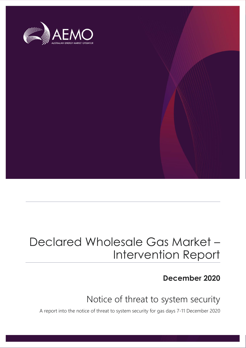

## Declared Wholesale Gas Market – Intervention Report

### **December 2020**

## Notice of threat to system security

A report into the notice of threat to system security for gas days 7-11 December 2020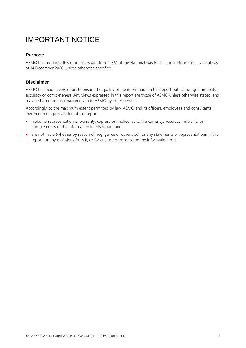## IMPORTANT NOTICE

#### **Purpose**

AEMO has prepared this report pursuant to rule 351 of the National Gas Rules, using information available as at 14 December 2020, unless otherwise specified.

#### **Disclaimer**

AEMO has made every effort to ensure the quality of the information in this report but cannot guarantee its accuracy or completeness. Any views expressed in this report are those of AEMO unless otherwise stated, and may be based on information given to AEMO by other persons.

Accordingly, to the maximum extent permitted by law, AEMO and its officers, employees and consultants involved in the preparation of this report:

- make no representation or warranty, express or implied, as to the currency, accuracy, reliability or completeness of the information in this report; and
- are not liable (whether by reason of negligence or otherwise) for any statements or representations in this report, or any omissions from it, or for any use or reliance on the information in it.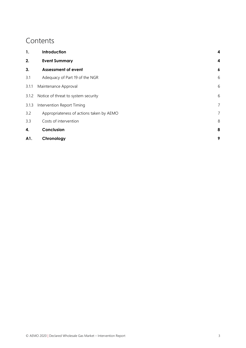### **Contents**

| 1.    | Introduction                             | 4                |
|-------|------------------------------------------|------------------|
| 2.    | <b>Event Summary</b>                     | 4                |
| 3.    | <b>Assessment of event</b>               | $\boldsymbol{6}$ |
| 3.1   | Adequacy of Part 19 of the NGR           | 6                |
| 3.1.1 | Maintenance Approval                     | 6                |
| 3.1.2 | Notice of threat to system security      | 6                |
| 3.1.3 | Intervention Report Timing               | 7                |
| 3.2   | Appropriateness of actions taken by AEMO | $\overline{7}$   |
| 3.3   | Costs of intervention                    | 8                |
| 4.    | Conclusion                               | 8                |
| A1.   | Chronology                               | 9                |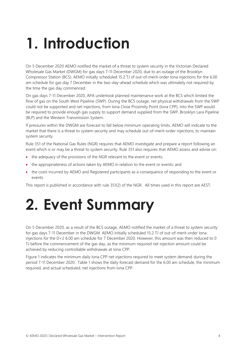# <span id="page-3-0"></span>**1. Introduction**

On 5 December 2020 AEMO notified the market of a threat to system security in the Victorian Declared Wholesale Gas Market (DWGM) for gas days 7-11 December 2020, due to an outage of the Brooklyn Compressor Station (BCS). AEMO initially scheduled 15.2 TJ of out-of-merit-order Iona injections for the 6.00 am schedule for gas day 7 December in the two-day-ahead schedule which was ultimately not required by the time the gas day commenced.

On gas days 7-11 December 2020, APA undertook planned maintenance work at the BCS which limited the flow of gas on the South West Pipeline (SWP). During the BCS outage, net physical withdrawals from the SWP could not be supported and net injections, from Iona Close Proximity Point (Iona CPP), into the SWP would be required to provide enough gas supply to support demand supplied from the SWP, Brooklyn Lara Pipeline (BLP) and the Western Transmission System.

If pressures within the DWGM are forecast to fall below minimum operating limits, AEMO will indicate to the market that there is a threat to system security and may schedule out-of-merit-order injections, to maintain system security.

Rule 351 of the National Gas Rules (NGR) requires that AEMO investigate and prepare a report following an event which is or may be a threat to system security. Rule 351 also requires that AEMO assess and advise on:

- the adequacy of the provisions of the NGR relevant to the event or events;
- the appropriateness of actions taken by AEMO in relation to the event or events; and
- the costs incurred by AEMO and Registered participants as a consequence of responding to the event or events.

This report is published in accordance with rule 351(2) of the NGR. All times used in this report are AEST.

# <span id="page-3-1"></span>**2. Event Summary**

On 5 December 2020, as a result of the BCS outage, AEMO notified the market of a threat to system security for gas days 7-11 December in the DWGM. AEMO initially scheduled 15.2 TJ of out-of-merit-order Iona injections for the D+2 6.00 am schedule for 7 December 2020. However, this amount was then reduced to 0 TJ before the commencement of the gas day, as the minimum required net injection amount could be achieved by reducing controllable withdrawals at Iona CPP.

[Figure 1](#page-4-0) indicates the minimum daily Iona CPP net injections required to meet system demand during the period 7-11 December 2020. [Table 1](#page-4-1) shows the daily forecast demand for the 6.00 am schedule, the minimum required, and actual scheduled, net injections from Iona CPP.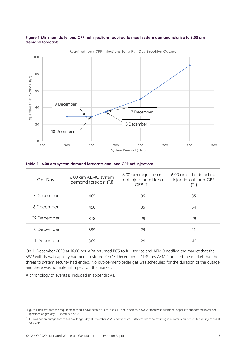

#### <span id="page-4-0"></span>**Figure 1 Minimum daily Iona CPP net injections required to meet system demand relative to 6.00 am demand forecasts**

#### <span id="page-4-1"></span>**Table 1 6.00 am system demand forecasts and Iona CPP net injections**

| Gas Day     | 6.00 am AEMO system<br>demand forecast (TJ) | 6.00 am requirement<br>net injection at lona<br>CPP (TJ) | 6.00 am scheduled net<br>injection at Iona CPP<br>(TJ) |
|-------------|---------------------------------------------|----------------------------------------------------------|--------------------------------------------------------|
| 7 December  | 465                                         | 35                                                       | 35                                                     |
| 8 December  | 456                                         | 35                                                       | 54                                                     |
| 09 December | 378                                         | 29                                                       | 29                                                     |
| 10 December | 399                                         | 29                                                       | 21 <sup>1</sup>                                        |
| 11 December | 369                                         | 29                                                       | $4^2$                                                  |

On 11 December 2020 at 16.00 hrs, APA returned BCS to full service and AEMO notified the market that the SWP withdrawal capacity had been restored. On 14 December at 11.49 hrs AEMO notified the market that the threat to system security had ended. No out-of-merit-order gas was scheduled for the duration of the outage and there was no material impact on the market.

A chronology of events is included in appendix [A1.](#page-8-0)

<sup>&</sup>lt;sup>1</sup> [Figure 1](#page-4-0) indicates that the requirement should have been 29 TJ of Iona CPP net injections, however there was sufficient linepack to support the lower net injections on gas day 10 December 2020.

<sup>&</sup>lt;sup>2</sup> BCS was not on outage for the full day for gas day 11 December 2020 and there was sufficient linepack, resulting in a lower requirement for net injections at Iona CPP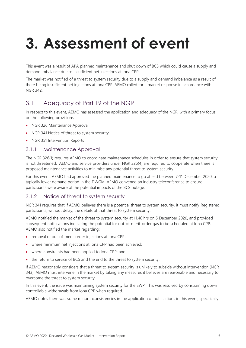# <span id="page-5-0"></span>**3. Assessment of event**

This event was a result of APA planned maintenance and shut down of BCS which could cause a supply and demand imbalance due to insufficient net injections at Iona CPP.

The market was notified of a threat to system security due to a supply and demand imbalance as a result of there being insufficient net injections at Iona CPP. AEMO called for a market response in accordance with NGR 342.

### <span id="page-5-1"></span>3.1 Adequacy of Part 19 of the NGR

In respect to this event, AEMO has assessed the application and adequacy of the NGR, with a primary focus on the following provisions:

- NGR 326 Maintenance Approval
- NGR 341 Notice of threat to system security
- NGR 351 Intervention Reports

#### <span id="page-5-2"></span>3.1.1 Maintenance Approval

The NGR 326(1) requires AEMO to coordinate maintenance schedules in order to ensure that system security is not threatened. AEMO and service providers under NGR 326(4) are required to cooperate when there is proposed maintenance activities to minimise any potential threat to system security.

For this event, AEMO had approved the planned maintenance to go ahead between 7-11 December 2020, a typically lower demand period in the DWGM. AEMO convened an industry teleconference to ensure participants were aware of the potential impacts of the BCS outage.

#### <span id="page-5-3"></span>3.1.2 Notice of threat to system security

NGR 341 requires that if AEMO believes there is a potential threat to system security, it must notify Registered participants, without delay, the details of that threat to system security.

AEMO notified the market of the threat to system security at 11.46 hrs on 5 December 2020, and provided subsequent notifications indicating the potential for out-of-merit-order gas to be scheduled at Iona CPP. AEMO also notified the market regarding:

- removal of out-of-merit-order injections at Iona CPP;
- where minimum net injections at Iona CPP had been achieved;
- where constraints had been applied to Iona CPP; and
- the return to service of BCS and the end to the threat to system security.

If AEMO reasonably considers that a threat to system security is unlikely to subside without intervention (NGR 343), AEMO must intervene in the market by taking any measures it believes are reasonable and necessary to overcome the threat to system security.

In this event, the issue was maintaining system security for the SWP. This was resolved by constraining down controllable withdrawals from Iona CPP when required.

AEMO notes there was some minor inconsistencies in the application of notifications in this event, specifically: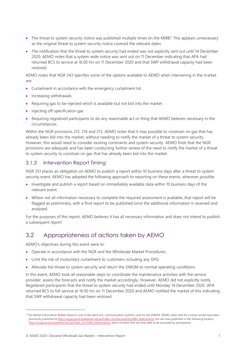- $\bullet$  The threat to system security notice was published multiple times on the MIBB<sup>3</sup>. This appears unnecessary as the original threat to system security notice covered the relevant dates.
- The notification that the threat to system security had ended was not explicitly sent out until 14 December 2020. AEMO notes that a system wide notice was sent out on 11 December indicating that APA had returned BCS to service at 16.00 hrs on 11 December 2020 and that SWP withdrawal capacity had been restored.

AEMO notes that NGR 343 specifies some of the options available to AEMO when intervening in the market are:

- Curtailment in accordance with the emergency curtailment list
- Increasing withdrawals
- Requiring gas to be injected which is available but not bid into the market
- Injecting off-specification gas
- Requiring registered participants to do any reasonable act or thing that AEMO believes necessary in the circumstances.

Within the NGR provisions 213, 214 and 215, AEMO notes that it may possible to constrain on gas that has already been bid into the market, without needing to notify the market of a threat to system security. However, this would need to consider existing constraints and system security. AEMO finds that the NGR provisions are adequate and has been conducting further review of the need to notify the market of a threat to system security to constrain on gas that has already been bid into the market.

#### <span id="page-6-0"></span>3.1.3 Intervention Report Timing

NGR 351 places an obligation on AEMO to publish a report within 10 business days after a threat to system security event. AEMO has adopted the following approach to reporting on these events, wherever possible:

- Investigate and publish a report based on immediately available data within 10 business days of the relevant event.
- Where not all information necessary to complete the required assessment is available, that report will be flagged as preliminary, with a final report to be published once the additional information is received and analysed.

For the purposes of this report, AEMO believes it has all necessary information and does not intend to publish a subsequent report.

### <span id="page-6-1"></span>3.2 Appropriateness of actions taken by AEMO

AEMO's objectives during this event were to:

- Operate in accordance with the NGR and the Wholesale Market Procedures;
- Limit the risk of involuntary curtailment to customers including any GPG;
- Alleviate the threat to system security and return the DWGM to normal operating conditions.

In this event, AEMO took all reasonable steps to coordinate the maintenance activities with the service provider, assess the forecasts and notify the market accordingly. However, AEMO did not explicitly notify Registered participants that the threat to system security had ended until Monday 14 December 2020. APA returned BCS to full service at 16.00 hrs on 11 December 2020 and AEMO notified the market of this indicating that SWP withdrawal capacity had been restored.

<sup>&</sup>lt;sup>3</sup> The Market Information Bulletin Board is one of the electronic communication systems used for the DWGM. AEMO notes that the notices would have been previously published a[t http://vicgas.prod.marketnet.net.au/Public\\_Dir/Documents/SWN\\_Attachment/](http://vicgas.prod.marketnet.net.au/Public_Dir/Documents/SWN_Attachment/) but are now published in the following location [http://vicgas.prod.marketnet.net.au/Public\\_Dir/SWN\\_Attachments/](http://vicgas.prod.marketnet.net.au/Public_Dir/SWN_Attachments/) (both of these links are only able to be accessed by participants)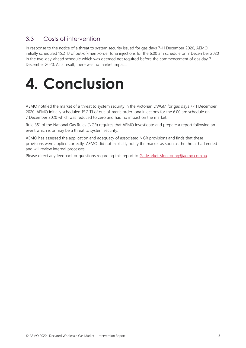### <span id="page-7-0"></span>3.3 Costs of intervention

In response to the notice of a threat to system security issued for gas days 7-11 December 2020, AEMO initially scheduled 15.2 TJ of out-of-merit-order Iona injections for the 6.00 am schedule on 7 December 2020 in the two-day-ahead schedule which was deemed not required before the commencement of gas day 7 December 2020. As a result, there was no market impact.

# <span id="page-7-1"></span>**4. Conclusion**

AEMO notified the market of a threat to system security in the Victorian DWGM for gas days 7-11 December 2020. AEMO initially scheduled 15.2 TJ of out-of-merit-order Iona injections for the 6.00 am schedule on 7 December 2020 which was reduced to zero and had no impact on the market.

Rule 351 of the National Gas Rules (NGR) requires that AEMO investigate and prepare a report following an event which is or may be a threat to system security.

AEMO has assessed the application and adequacy of associated NGR provisions and finds that these provisions were applied correctly. AEMO did not explicitly notify the market as soon as the threat had ended and will review internal processes.

Please direct any feedback or questions regarding this report to [GasMarket.Monitoring@aemo.com.au.](mailto:GasMarket.Monitoring@aemo.com.au)